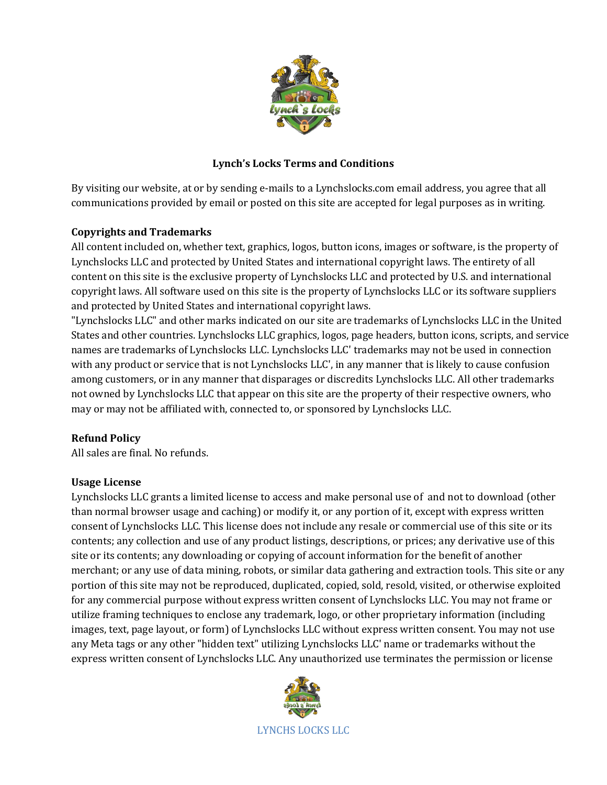

# **Lynch's Locks Terms and Conditions**

By visiting our website, at or by sending e-mails to a Lynchslocks.com email address, you agree that all communications provided by email or posted on this site are accepted for legal purposes as in writing.

## **Copyrights and Trademarks**

All content included on, whether text, graphics, logos, button icons, images or software, is the property of Lynchslocks LLC and protected by United States and international copyright laws. The entirety of all content on this site is the exclusive property of Lynchslocks LLC and protected by U.S. and international copyright laws. All software used on this site is the property of Lynchslocks LLC or its software suppliers and protected by United States and international copyright laws.

"Lynchslocks LLC" and other marks indicated on our site are trademarks of Lynchslocks LLC in the United States and other countries. Lynchslocks LLC graphics, logos, page headers, button icons, scripts, and service names are trademarks of Lynchslocks LLC. Lynchslocks LLC' trademarks may not be used in connection with any product or service that is not Lynchslocks LLC', in any manner that is likely to cause confusion among customers, or in any manner that disparages or discredits Lynchslocks LLC. All other trademarks not owned by Lynchslocks LLC that appear on this site are the property of their respective owners, who may or may not be affiliated with, connected to, or sponsored by Lynchslocks LLC.

## **Refund Policy**

All sales are final. No refunds.

## **Usage License**

Lynchslocks LLC grants a limited license to access and make personal use of and not to download (other than normal browser usage and caching) or modify it, or any portion of it, except with express written consent of Lynchslocks LLC. This license does not include any resale or commercial use of this site or its contents; any collection and use of any product listings, descriptions, or prices; any derivative use of this site or its contents; any downloading or copying of account information for the benefit of another merchant; or any use of data mining, robots, or similar data gathering and extraction tools. This site or any portion of this site may not be reproduced, duplicated, copied, sold, resold, visited, or otherwise exploited for any commercial purpose without express written consent of Lynchslocks LLC. You may not frame or utilize framing techniques to enclose any trademark, logo, or other proprietary information (including images, text, page layout, or form) of Lynchslocks LLC without express written consent. You may not use any Meta tags or any other "hidden text" utilizing Lynchslocks LLC' name or trademarks without the express written consent of Lynchslocks LLC. Any unauthorized use terminates the permission or license

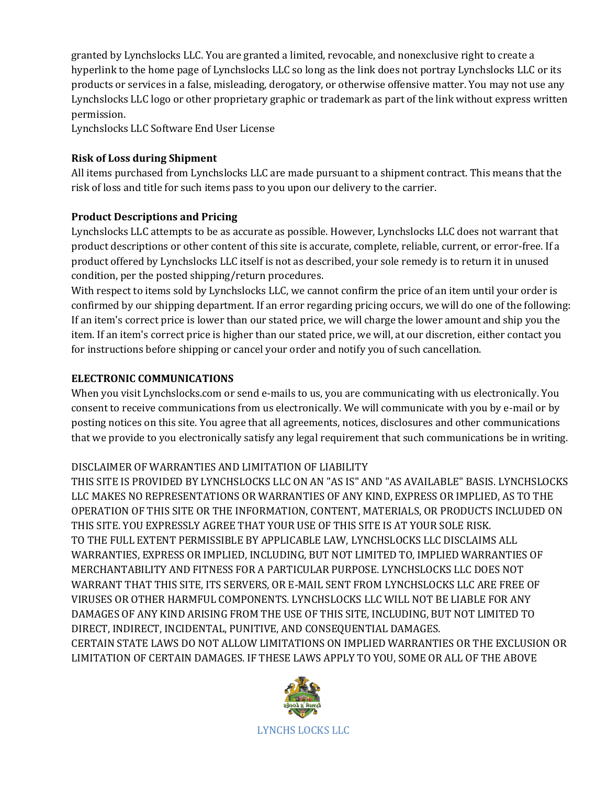granted by Lynchslocks LLC. You are granted a limited, revocable, and nonexclusive right to create a hyperlink to the home page of Lynchslocks LLC so long as the link does not portray Lynchslocks LLC or its products or services in a false, misleading, derogatory, or otherwise offensive matter. You may not use any Lynchslocks LLC logo or other proprietary graphic or trademark as part of the link without express written permission.

Lynchslocks LLC Software End User License

## **Risk of Loss during Shipment**

All items purchased from Lynchslocks LLC are made pursuant to a shipment contract. This means that the risk of loss and title for such items pass to you upon our delivery to the carrier.

## **Product Descriptions and Pricing**

Lynchslocks LLC attempts to be as accurate as possible. However, Lynchslocks LLC does not warrant that product descriptions or other content of this site is accurate, complete, reliable, current, or error-free. If a product offered by Lynchslocks LLC itself is not as described, your sole remedy is to return it in unused condition, per the posted shipping/return procedures.

With respect to items sold by Lynchslocks LLC, we cannot confirm the price of an item until your order is confirmed by our shipping department. If an error regarding pricing occurs, we will do one of the following: If an item's correct price is lower than our stated price, we will charge the lower amount and ship you the item. If an item's correct price is higher than our stated price, we will, at our discretion, either contact you for instructions before shipping or cancel your order and notify you of such cancellation.

## **ELECTRONIC COMMUNICATIONS**

When you visit Lynchslocks.com or send e-mails to us, you are communicating with us electronically. You consent to receive communications from us electronically. We will communicate with you by e-mail or by posting notices on this site. You agree that all agreements, notices, disclosures and other communications that we provide to you electronically satisfy any legal requirement that such communications be in writing.

## DISCLAIMER OF WARRANTIES AND LIMITATION OF LIABILITY

THIS SITE IS PROVIDED BY LYNCHSLOCKS LLC ON AN "AS IS" AND "AS AVAILABLE" BASIS. LYNCHSLOCKS LLC MAKES NO REPRESENTATIONS OR WARRANTIES OF ANY KIND, EXPRESS OR IMPLIED, AS TO THE OPERATION OF THIS SITE OR THE INFORMATION, CONTENT, MATERIALS, OR PRODUCTS INCLUDED ON THIS SITE. YOU EXPRESSLY AGREE THAT YOUR USE OF THIS SITE IS AT YOUR SOLE RISK. TO THE FULL EXTENT PERMISSIBLE BY APPLICABLE LAW, LYNCHSLOCKS LLC DISCLAIMS ALL WARRANTIES, EXPRESS OR IMPLIED, INCLUDING, BUT NOT LIMITED TO, IMPLIED WARRANTIES OF MERCHANTABILITY AND FITNESS FOR A PARTICULAR PURPOSE. LYNCHSLOCKS LLC DOES NOT WARRANT THAT THIS SITE, ITS SERVERS, OR E-MAIL SENT FROM LYNCHSLOCKS LLC ARE FREE OF VIRUSES OR OTHER HARMFUL COMPONENTS. LYNCHSLOCKS LLC WILL NOT BE LIABLE FOR ANY DAMAGES OF ANY KIND ARISING FROM THE USE OF THIS SITE, INCLUDING, BUT NOT LIMITED TO DIRECT, INDIRECT, INCIDENTAL, PUNITIVE, AND CONSEQUENTIAL DAMAGES. CERTAIN STATE LAWS DO NOT ALLOW LIMITATIONS ON IMPLIED WARRANTIES OR THE EXCLUSION OR LIMITATION OF CERTAIN DAMAGES. IF THESE LAWS APPLY TO YOU, SOME OR ALL OF THE ABOVE